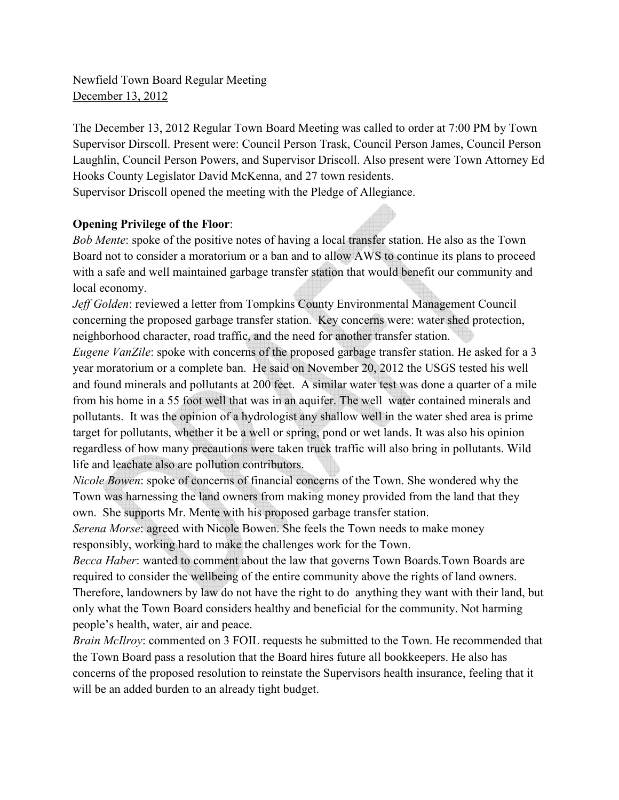The December 13, 2012 Regular Town Board Meeting was called to order at 7:00 PM by Town Supervisor Dirscoll. Present were: Council Person Trask, Council Person James, Council Person Laughlin, Council Person Powers, and Supervisor Driscoll. Also present were Town Attorney Ed Hooks County Legislator David McKenna, and 27 town residents.

Supervisor Driscoll opened the meeting with the Pledge of Allegiance.

### **Opening Privilege of the Floor**:

*Bob Mente*: spoke of the positive notes of having a local transfer station. He also as the Town Board not to consider a moratorium or a ban and to allow AWS to continue its plans to proceed with a safe and well maintained garbage transfer station that would benefit our community and local economy.

*Jeff Golden*: reviewed a letter from Tompkins County Environmental Management Council concerning the proposed garbage transfer station. Key concerns were: water shed protection, neighborhood character, road traffic, and the need for another transfer station.

*Eugene VanZile*: spoke with concerns of the proposed garbage transfer station. He asked for a 3 year moratorium or a complete ban. He said on November 20, 2012 the USGS tested his well and found minerals and pollutants at 200 feet. A similar water test was done a quarter of a mile from his home in a 55 foot well that was in an aquifer. The well water contained minerals and pollutants. It was the opinion of a hydrologist any shallow well in the water shed area is prime target for pollutants, whether it be a well or spring, pond or wet lands. It was also his opinion regardless of how many precautions were taken truck traffic will also bring in pollutants. Wild life and leachate also are pollution contributors.

*Nicole Bowen*: spoke of concerns of financial concerns of the Town. She wondered why the Town was harnessing the land owners from making money provided from the land that they own. She supports Mr. Mente with his proposed garbage transfer station.

*Serena Morse*: agreed with Nicole Bowen. She feels the Town needs to make money responsibly, working hard to make the challenges work for the Town.

*Becca Haber*: wanted to comment about the law that governs Town Boards.Town Boards are required to consider the wellbeing of the entire community above the rights of land owners. Therefore, landowners by law do not have the right to do anything they want with their land, but only what the Town Board considers healthy and beneficial for the community. Not harming people's health, water, air and peace.

*Brain McIlroy*: commented on 3 FOIL requests he submitted to the Town. He recommended that the Town Board pass a resolution that the Board hires future all bookkeepers. He also has concerns of the proposed resolution to reinstate the Supervisors health insurance, feeling that it will be an added burden to an already tight budget.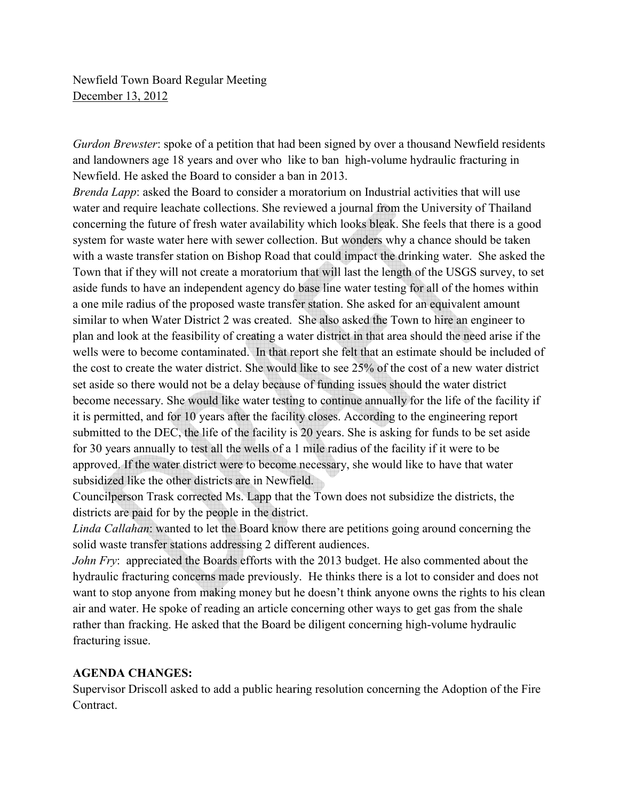*Gurdon Brewster*: spoke of a petition that had been signed by over a thousand Newfield residents and landowners age 18 years and over who like to ban high-volume hydraulic fracturing in Newfield. He asked the Board to consider a ban in 2013.

*Brenda Lapp*: asked the Board to consider a moratorium on Industrial activities that will use water and require leachate collections. She reviewed a journal from the University of Thailand concerning the future of fresh water availability which looks bleak. She feels that there is a good system for waste water here with sewer collection. But wonders why a chance should be taken with a waste transfer station on Bishop Road that could impact the drinking water. She asked the Town that if they will not create a moratorium that will last the length of the USGS survey, to set aside funds to have an independent agency do base line water testing for all of the homes within a one mile radius of the proposed waste transfer station. She asked for an equivalent amount similar to when Water District 2 was created. She also asked the Town to hire an engineer to plan and look at the feasibility of creating a water district in that area should the need arise if the wells were to become contaminated. In that report she felt that an estimate should be included of the cost to create the water district. She would like to see 25% of the cost of a new water district set aside so there would not be a delay because of funding issues should the water district become necessary. She would like water testing to continue annually for the life of the facility if it is permitted, and for 10 years after the facility closes. According to the engineering report submitted to the DEC, the life of the facility is 20 years. She is asking for funds to be set aside for 30 years annually to test all the wells of a 1 mile radius of the facility if it were to be approved. If the water district were to become necessary, she would like to have that water subsidized like the other districts are in Newfield.

Councilperson Trask corrected Ms. Lapp that the Town does not subsidize the districts, the districts are paid for by the people in the district.

*Linda Callahan*: wanted to let the Board know there are petitions going around concerning the solid waste transfer stations addressing 2 different audiences.

*John Fry*: appreciated the Boards efforts with the 2013 budget. He also commented about the hydraulic fracturing concerns made previously. He thinks there is a lot to consider and does not want to stop anyone from making money but he doesn't think anyone owns the rights to his clean air and water. He spoke of reading an article concerning other ways to get gas from the shale rather than fracking. He asked that the Board be diligent concerning high-volume hydraulic fracturing issue.

#### **AGENDA CHANGES:**

Supervisor Driscoll asked to add a public hearing resolution concerning the Adoption of the Fire Contract.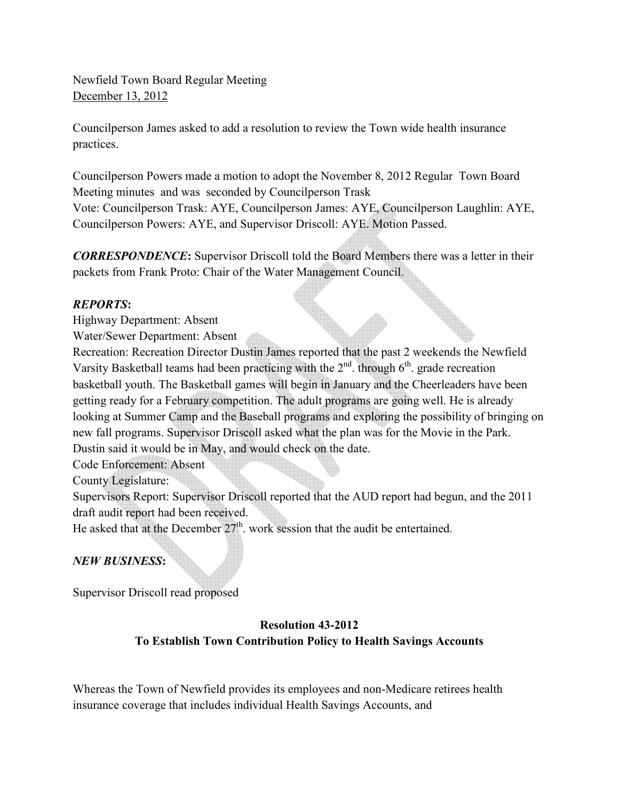Councilperson James asked to add a resolution to review the Town wide health insurance practices.

Councilperson Powers made a motion to adopt the November 8, 2012 Regular Town Board Meeting minutes and was seconded by Councilperson Trask Vote: Councilperson Trask: AYE, Councilperson James: AYE, Councilperson Laughlin: AYE, Councilperson Powers: AYE, and Supervisor Driscoll: AYE. Motion Passed.

*CORRESPONDENCE***:** Supervisor Driscoll told the Board Members there was a letter in their packets from Frank Proto: Chair of the Water Management Council.

# *REPORTS***:**

Highway Department: Absent

Water/Sewer Department: Absent

Recreation: Recreation Director Dustin James reported that the past 2 weekends the Newfield Varsity Basketball teams had been practicing with the  $2<sup>nd</sup>$ , through  $6<sup>th</sup>$ , grade recreation basketball youth. The Basketball games will begin in January and the Cheerleaders have been getting ready for a February competition. The adult programs are going well. He is already looking at Summer Camp and the Baseball programs and exploring the possibility of bringing on new fall programs. Supervisor Driscoll asked what the plan was for the Movie in the Park. Dustin said it would be in May, and would check on the date.

Code Enforcement: Absent

County Legislature:

Supervisors Report: Supervisor Driscoll reported that the AUD report had begun, and the 2011 draft audit report had been received.

He asked that at the December 27<sup>th</sup>. work session that the audit be entertained.

# *NEW BUSINESS***:**

Supervisor Driscoll read proposed

### **Resolution 43-2012 To Establish Town Contribution Policy to Health Savings Accounts**

Whereas the Town of Newfield provides its employees and non-Medicare retirees health insurance coverage that includes individual Health Savings Accounts, and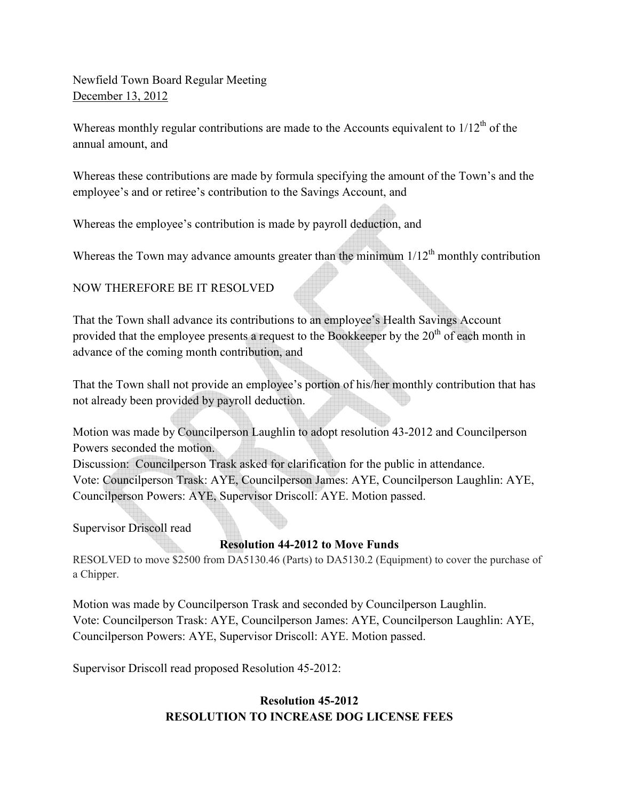Whereas monthly regular contributions are made to the Accounts equivalent to  $1/12<sup>th</sup>$  of the annual amount, and

Whereas these contributions are made by formula specifying the amount of the Town's and the employee's and or retiree's contribution to the Savings Account, and

Whereas the employee's contribution is made by payroll deduction, and

Whereas the Town may advance amounts greater than the minimum  $1/12<sup>th</sup>$  monthly contribution

# NOW THEREFORE BE IT RESOLVED

That the Town shall advance its contributions to an employee's Health Savings Account provided that the employee presents a request to the Bookkeeper by the  $20<sup>th</sup>$  of each month in advance of the coming month contribution, and

That the Town shall not provide an employee's portion of his/her monthly contribution that has not already been provided by payroll deduction.

Motion was made by Councilperson Laughlin to adopt resolution 43-2012 and Councilperson Powers seconded the motion.

Discussion: Councilperson Trask asked for clarification for the public in attendance. Vote: Councilperson Trask: AYE, Councilperson James: AYE, Councilperson Laughlin: AYE, Councilperson Powers: AYE, Supervisor Driscoll: AYE. Motion passed.

Supervisor Driscoll read

### **Resolution 44-2012 to Move Funds**

RESOLVED to move \$2500 from DA5130.46 (Parts) to DA5130.2 (Equipment) to cover the purchase of a Chipper.

Motion was made by Councilperson Trask and seconded by Councilperson Laughlin. Vote: Councilperson Trask: AYE, Councilperson James: AYE, Councilperson Laughlin: AYE, Councilperson Powers: AYE, Supervisor Driscoll: AYE. Motion passed.

Supervisor Driscoll read proposed Resolution 45-2012:

# **Resolution 45-2012 RESOLUTION TO INCREASE DOG LICENSE FEES**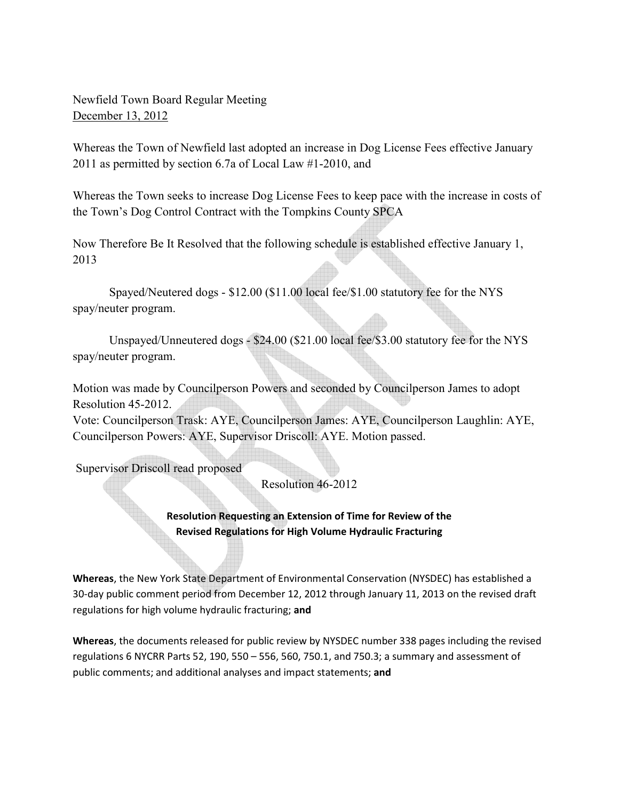Whereas the Town of Newfield last adopted an increase in Dog License Fees effective January 2011 as permitted by section 6.7a of Local Law #1-2010, and

Whereas the Town seeks to increase Dog License Fees to keep pace with the increase in costs of the Town's Dog Control Contract with the Tompkins County SPCA

Now Therefore Be It Resolved that the following schedule is established effective January 1, 2013

 Spayed/Neutered dogs - \$12.00 (\$11.00 local fee/\$1.00 statutory fee for the NYS spay/neuter program.

 Unspayed/Unneutered dogs - \$24.00 (\$21.00 local fee/\$3.00 statutory fee for the NYS spay/neuter program.

Motion was made by Councilperson Powers and seconded by Councilperson James to adopt Resolution 45-2012.

Vote: Councilperson Trask: AYE, Councilperson James: AYE, Councilperson Laughlin: AYE, Councilperson Powers: AYE, Supervisor Driscoll: AYE. Motion passed.

Supervisor Driscoll read proposed

Resolution 46-2012

### **Resolution Requesting an Extension of Time for Review of the Revised Regulations for High Volume Hydraulic Fracturing**

**Whereas**, the New York State Department of Environmental Conservation (NYSDEC) has established a 30-day public comment period from December 12, 2012 through January 11, 2013 on the revised draft regulations for high volume hydraulic fracturing; **and**

**Whereas**, the documents released for public review by NYSDEC number 338 pages including the revised regulations 6 NYCRR Parts 52, 190, 550 – 556, 560, 750.1, and 750.3; a summary and assessment of public comments; and additional analyses and impact statements; **and**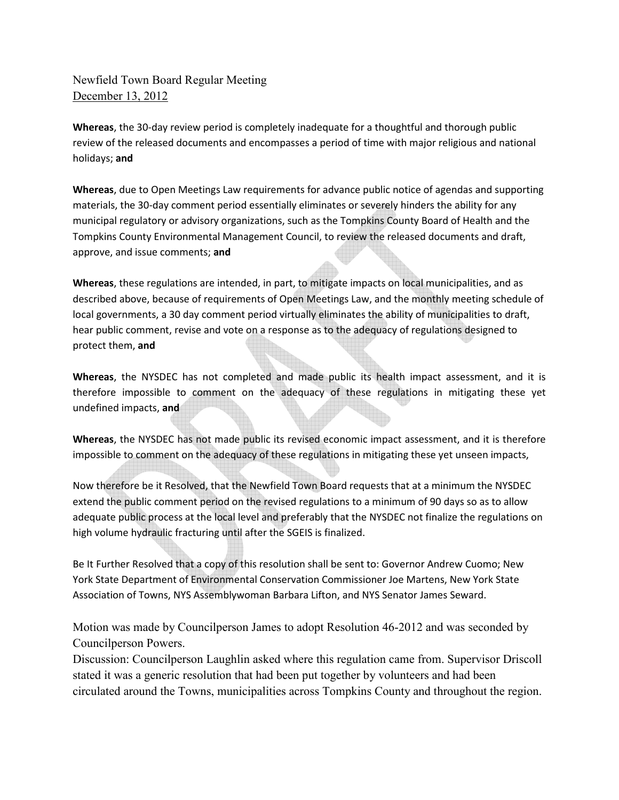**Whereas**, the 30-day review period is completely inadequate for a thoughtful and thorough public review of the released documents and encompasses a period of time with major religious and national holidays; **and**

**Whereas**, due to Open Meetings Law requirements for advance public notice of agendas and supporting materials, the 30-day comment period essentially eliminates or severely hinders the ability for any municipal regulatory or advisory organizations, such as the Tompkins County Board of Health and the Tompkins County Environmental Management Council, to review the released documents and draft, approve, and issue comments; **and**

**Whereas**, these regulations are intended, in part, to mitigate impacts on local municipalities, and as described above, because of requirements of Open Meetings Law, and the monthly meeting schedule of local governments, a 30 day comment period virtually eliminates the ability of municipalities to draft, hear public comment, revise and vote on a response as to the adequacy of regulations designed to protect them, **and**

**Whereas**, the NYSDEC has not completed and made public its health impact assessment, and it is therefore impossible to comment on the adequacy of these regulations in mitigating these yet undefined impacts, **and**

**Whereas**, the NYSDEC has not made public its revised economic impact assessment, and it is therefore impossible to comment on the adequacy of these regulations in mitigating these yet unseen impacts,

Now therefore be it Resolved, that the Newfield Town Board requests that at a minimum the NYSDEC extend the public comment period on the revised regulations to a minimum of 90 days so as to allow adequate public process at the local level and preferably that the NYSDEC not finalize the regulations on high volume hydraulic fracturing until after the SGEIS is finalized.

Be It Further Resolved that a copy of this resolution shall be sent to: Governor Andrew Cuomo; New York State Department of Environmental Conservation Commissioner Joe Martens, New York State Association of Towns, NYS Assemblywoman Barbara Lifton, and NYS Senator James Seward.

Motion was made by Councilperson James to adopt Resolution 46-2012 and was seconded by Councilperson Powers.

Discussion: Councilperson Laughlin asked where this regulation came from. Supervisor Driscoll stated it was a generic resolution that had been put together by volunteers and had been circulated around the Towns, municipalities across Tompkins County and throughout the region.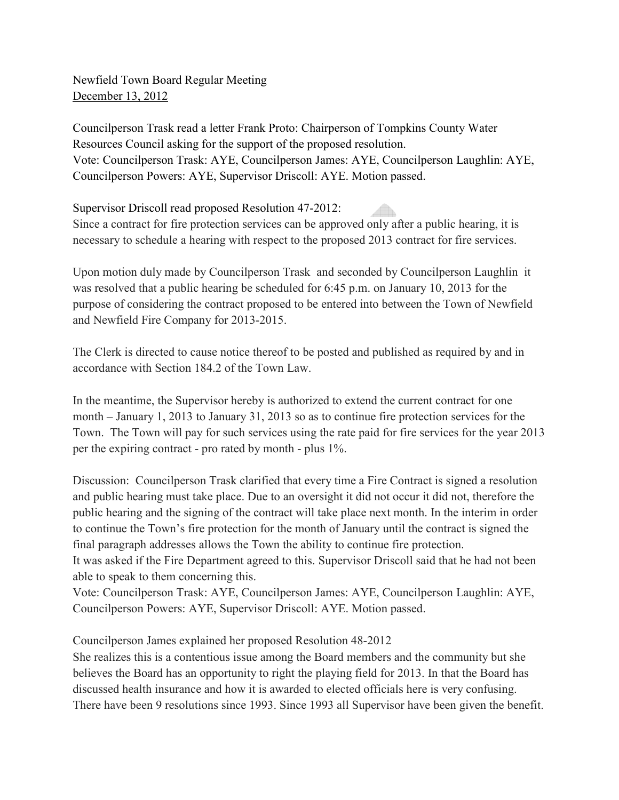Councilperson Trask read a letter Frank Proto: Chairperson of Tompkins County Water Resources Council asking for the support of the proposed resolution. Vote: Councilperson Trask: AYE, Councilperson James: AYE, Councilperson Laughlin: AYE, Councilperson Powers: AYE, Supervisor Driscoll: AYE. Motion passed.

Supervisor Driscoll read proposed Resolution 47-2012:

Since a contract for fire protection services can be approved only after a public hearing, it is necessary to schedule a hearing with respect to the proposed 2013 contract for fire services.

Upon motion duly made by Councilperson Trask and seconded by Councilperson Laughlin it was resolved that a public hearing be scheduled for 6:45 p.m. on January 10, 2013 for the purpose of considering the contract proposed to be entered into between the Town of Newfield and Newfield Fire Company for 2013-2015.

The Clerk is directed to cause notice thereof to be posted and published as required by and in accordance with Section 184.2 of the Town Law.

In the meantime, the Supervisor hereby is authorized to extend the current contract for one month – January 1, 2013 to January 31, 2013 so as to continue fire protection services for the Town. The Town will pay for such services using the rate paid for fire services for the year 2013 per the expiring contract - pro rated by month - plus 1%.

Discussion: Councilperson Trask clarified that every time a Fire Contract is signed a resolution and public hearing must take place. Due to an oversight it did not occur it did not, therefore the public hearing and the signing of the contract will take place next month. In the interim in order to continue the Town's fire protection for the month of January until the contract is signed the final paragraph addresses allows the Town the ability to continue fire protection.

It was asked if the Fire Department agreed to this. Supervisor Driscoll said that he had not been able to speak to them concerning this.

Vote: Councilperson Trask: AYE, Councilperson James: AYE, Councilperson Laughlin: AYE, Councilperson Powers: AYE, Supervisor Driscoll: AYE. Motion passed.

Councilperson James explained her proposed Resolution 48-2012

She realizes this is a contentious issue among the Board members and the community but she believes the Board has an opportunity to right the playing field for 2013. In that the Board has discussed health insurance and how it is awarded to elected officials here is very confusing. There have been 9 resolutions since 1993. Since 1993 all Supervisor have been given the benefit.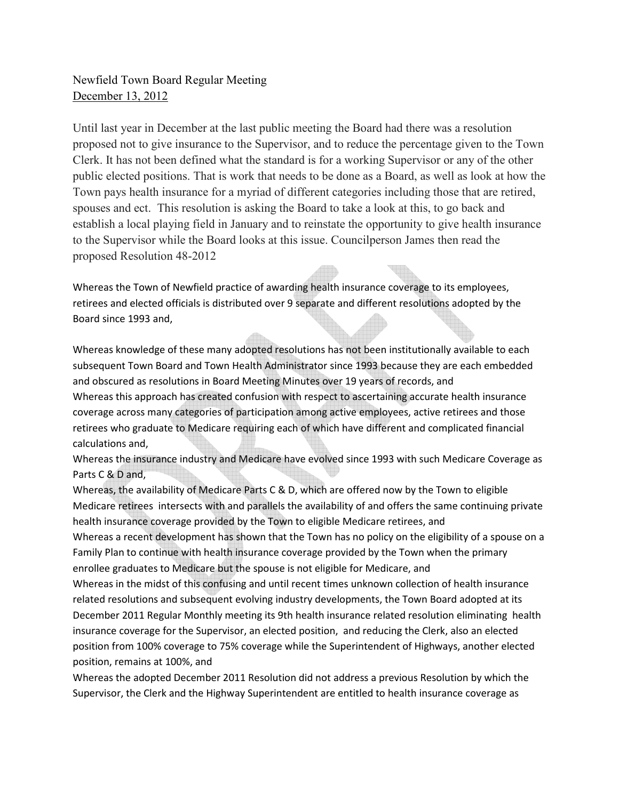Until last year in December at the last public meeting the Board had there was a resolution proposed not to give insurance to the Supervisor, and to reduce the percentage given to the Town Clerk. It has not been defined what the standard is for a working Supervisor or any of the other public elected positions. That is work that needs to be done as a Board, as well as look at how the Town pays health insurance for a myriad of different categories including those that are retired, spouses and ect. This resolution is asking the Board to take a look at this, to go back and establish a local playing field in January and to reinstate the opportunity to give health insurance to the Supervisor while the Board looks at this issue. Councilperson James then read the proposed Resolution 48-2012

Whereas the Town of Newfield practice of awarding health insurance coverage to its employees, retirees and elected officials is distributed over 9 separate and different resolutions adopted by the Board since 1993 and,

Whereas knowledge of these many adopted resolutions has not been institutionally available to each subsequent Town Board and Town Health Administrator since 1993 because they are each embedded and obscured as resolutions in Board Meeting Minutes over 19 years of records, and Whereas this approach has created confusion with respect to ascertaining accurate health insurance coverage across many categories of participation among active employees, active retirees and those retirees who graduate to Medicare requiring each of which have different and complicated financial calculations and,

Whereas the insurance industry and Medicare have evolved since 1993 with such Medicare Coverage as Parts C & D and,

Whereas, the availability of Medicare Parts C & D, which are offered now by the Town to eligible Medicare retirees intersects with and parallels the availability of and offers the same continuing private health insurance coverage provided by the Town to eligible Medicare retirees, and Whereas a recent development has shown that the Town has no policy on the eligibility of a spouse on a

Family Plan to continue with health insurance coverage provided by the Town when the primary enrollee graduates to Medicare but the spouse is not eligible for Medicare, and

Whereas in the midst of this confusing and until recent times unknown collection of health insurance related resolutions and subsequent evolving industry developments, the Town Board adopted at its December 2011 Regular Monthly meeting its 9th health insurance related resolution eliminating health insurance coverage for the Supervisor, an elected position, and reducing the Clerk, also an elected position from 100% coverage to 75% coverage while the Superintendent of Highways, another elected position, remains at 100%, and

Whereas the adopted December 2011 Resolution did not address a previous Resolution by which the Supervisor, the Clerk and the Highway Superintendent are entitled to health insurance coverage as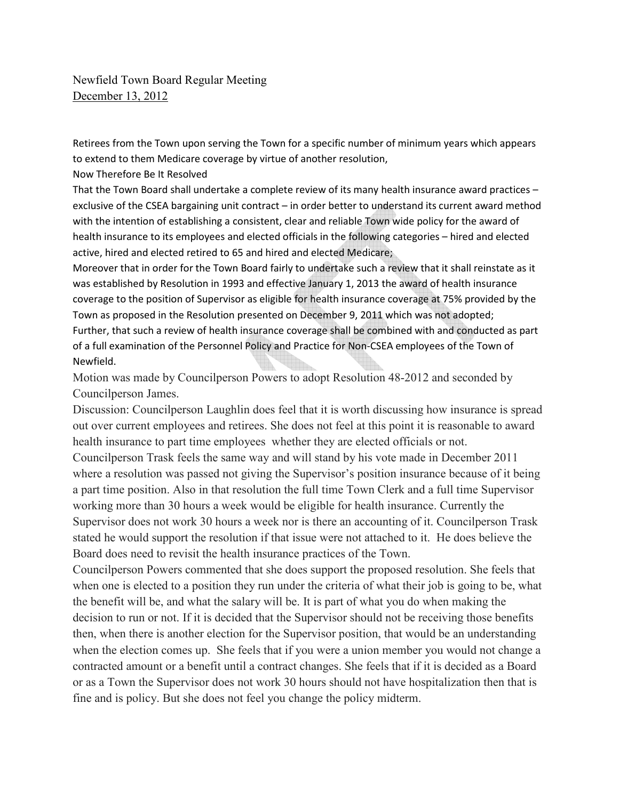Retirees from the Town upon serving the Town for a specific number of minimum years which appears to extend to them Medicare coverage by virtue of another resolution,

Now Therefore Be It Resolved

That the Town Board shall undertake a complete review of its many health insurance award practices – exclusive of the CSEA bargaining unit contract – in order better to understand its current award method with the intention of establishing a consistent, clear and reliable Town wide policy for the award of health insurance to its employees and elected officials in the following categories – hired and elected active, hired and elected retired to 65 and hired and elected Medicare;

Moreover that in order for the Town Board fairly to undertake such a review that it shall reinstate as it was established by Resolution in 1993 and effective January 1, 2013 the award of health insurance coverage to the position of Supervisor as eligible for health insurance coverage at 75% provided by the Town as proposed in the Resolution presented on December 9, 2011 which was not adopted; Further, that such a review of health insurance coverage shall be combined with and conducted as part of a full examination of the Personnel Policy and Practice for Non-CSEA employees of the Town of Newfield.

Motion was made by Councilperson Powers to adopt Resolution 48-2012 and seconded by Councilperson James.

Discussion: Councilperson Laughlin does feel that it is worth discussing how insurance is spread out over current employees and retirees. She does not feel at this point it is reasonable to award health insurance to part time employees whether they are elected officials or not.

Councilperson Trask feels the same way and will stand by his vote made in December 2011 where a resolution was passed not giving the Supervisor's position insurance because of it being a part time position. Also in that resolution the full time Town Clerk and a full time Supervisor working more than 30 hours a week would be eligible for health insurance. Currently the Supervisor does not work 30 hours a week nor is there an accounting of it. Councilperson Trask stated he would support the resolution if that issue were not attached to it. He does believe the Board does need to revisit the health insurance practices of the Town.

Councilperson Powers commented that she does support the proposed resolution. She feels that when one is elected to a position they run under the criteria of what their job is going to be, what the benefit will be, and what the salary will be. It is part of what you do when making the decision to run or not. If it is decided that the Supervisor should not be receiving those benefits then, when there is another election for the Supervisor position, that would be an understanding when the election comes up. She feels that if you were a union member you would not change a contracted amount or a benefit until a contract changes. She feels that if it is decided as a Board or as a Town the Supervisor does not work 30 hours should not have hospitalization then that is fine and is policy. But she does not feel you change the policy midterm.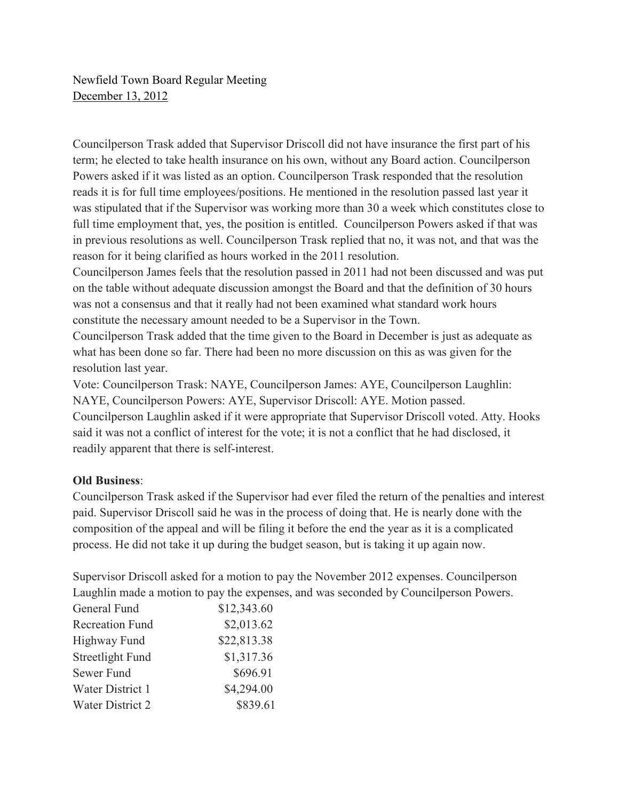Councilperson Trask added that Supervisor Driscoll did not have insurance the first part of his term; he elected to take health insurance on his own, without any Board action. Councilperson Powers asked if it was listed as an option. Councilperson Trask responded that the resolution reads it is for full time employees/positions. He mentioned in the resolution passed last year it was stipulated that if the Supervisor was working more than 30 a week which constitutes close to full time employment that, yes, the position is entitled. Councilperson Powers asked if that was in previous resolutions as well. Councilperson Trask replied that no, it was not, and that was the reason for it being clarified as hours worked in the 2011 resolution.

Councilperson James feels that the resolution passed in 2011 had not been discussed and was put on the table without adequate discussion amongst the Board and that the definition of 30 hours was not a consensus and that it really had not been examined what standard work hours constitute the necessary amount needed to be a Supervisor in the Town.

Councilperson Trask added that the time given to the Board in December is just as adequate as what has been done so far. There had been no more discussion on this as was given for the resolution last year.

Vote: Councilperson Trask: NAYE, Councilperson James: AYE, Councilperson Laughlin: NAYE, Councilperson Powers: AYE, Supervisor Driscoll: AYE. Motion passed. Councilperson Laughlin asked if it were appropriate that Supervisor Driscoll voted. Atty. Hooks said it was not a conflict of interest for the vote; it is not a conflict that he had disclosed, it readily apparent that there is self-interest.

### **Old Business**:

Councilperson Trask asked if the Supervisor had ever filed the return of the penalties and interest paid. Supervisor Driscoll said he was in the process of doing that. He is nearly done with the composition of the appeal and will be filing it before the end the year as it is a complicated process. He did not take it up during the budget season, but is taking it up again now.

Supervisor Driscoll asked for a motion to pay the November 2012 expenses. Councilperson Laughlin made a motion to pay the expenses, and was seconded by Councilperson Powers.

| General Fund           | \$12,343.60 |
|------------------------|-------------|
| <b>Recreation Fund</b> | \$2,013.62  |
| Highway Fund           | \$22,813.38 |
| Streetlight Fund       | \$1,317.36  |
| Sewer Fund             | \$696.91    |
| Water District 1       | \$4,294.00  |
| Water District 2       | \$839.61    |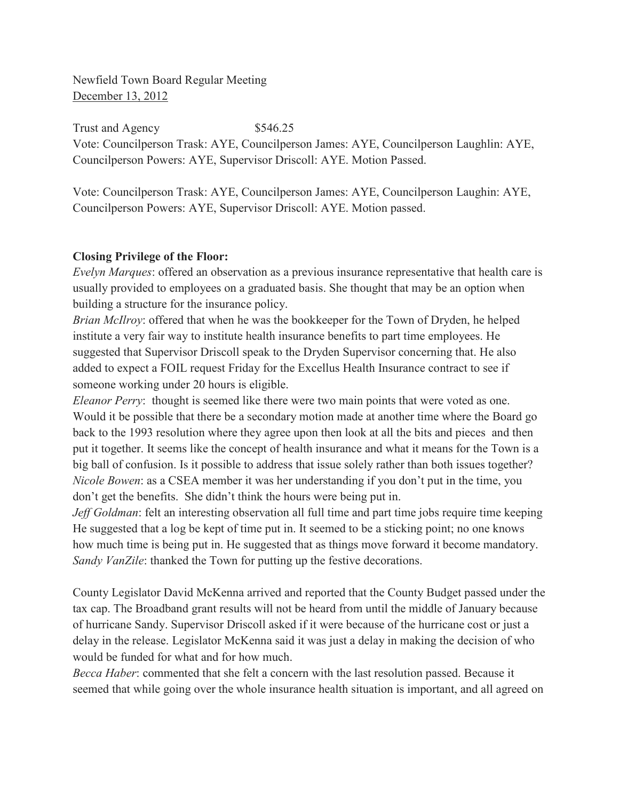Trust and Agency \$546.25 Vote: Councilperson Trask: AYE, Councilperson James: AYE, Councilperson Laughlin: AYE, Councilperson Powers: AYE, Supervisor Driscoll: AYE. Motion Passed.

Vote: Councilperson Trask: AYE, Councilperson James: AYE, Councilperson Laughin: AYE, Councilperson Powers: AYE, Supervisor Driscoll: AYE. Motion passed.

#### **Closing Privilege of the Floor:**

*Evelyn Marques*: offered an observation as a previous insurance representative that health care is usually provided to employees on a graduated basis. She thought that may be an option when building a structure for the insurance policy.

*Brian McIlroy*: offered that when he was the bookkeeper for the Town of Dryden, he helped institute a very fair way to institute health insurance benefits to part time employees. He suggested that Supervisor Driscoll speak to the Dryden Supervisor concerning that. He also added to expect a FOIL request Friday for the Excellus Health Insurance contract to see if someone working under 20 hours is eligible.

*Eleanor Perry*: thought is seemed like there were two main points that were voted as one. Would it be possible that there be a secondary motion made at another time where the Board go back to the 1993 resolution where they agree upon then look at all the bits and pieces and then put it together. It seems like the concept of health insurance and what it means for the Town is a big ball of confusion. Is it possible to address that issue solely rather than both issues together? *Nicole Bowen*: as a CSEA member it was her understanding if you don't put in the time, you don't get the benefits. She didn't think the hours were being put in.

*Jeff Goldman*: felt an interesting observation all full time and part time jobs require time keeping He suggested that a log be kept of time put in. It seemed to be a sticking point; no one knows how much time is being put in. He suggested that as things move forward it become mandatory. *Sandy VanZile*: thanked the Town for putting up the festive decorations.

County Legislator David McKenna arrived and reported that the County Budget passed under the tax cap. The Broadband grant results will not be heard from until the middle of January because of hurricane Sandy. Supervisor Driscoll asked if it were because of the hurricane cost or just a delay in the release. Legislator McKenna said it was just a delay in making the decision of who would be funded for what and for how much.

*Becca Haber*: commented that she felt a concern with the last resolution passed. Because it seemed that while going over the whole insurance health situation is important, and all agreed on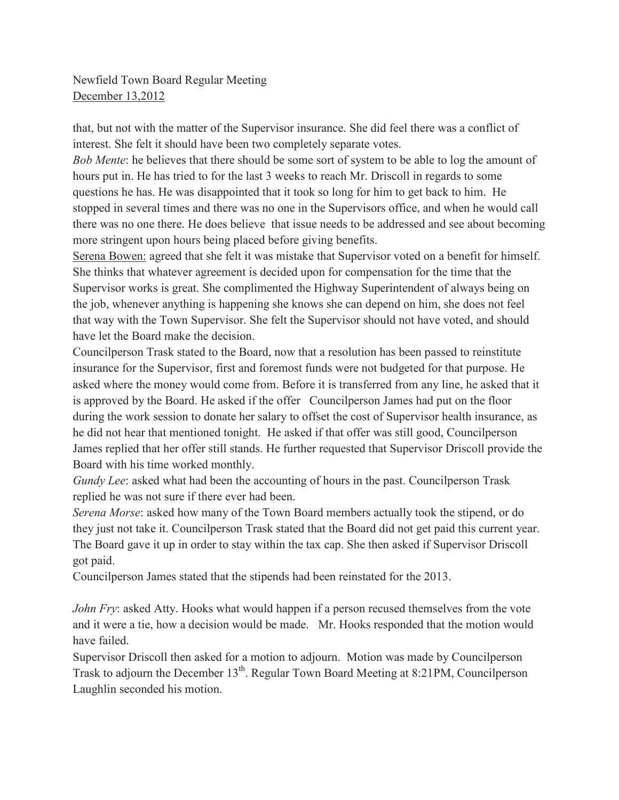that, but not with the matter of the Supervisor insurance. She did feel there was a conflict of interest. She felt it should have been two completely separate votes.

*Bob Mente*: he believes that there should be some sort of system to be able to log the amount of hours put in. He has tried to for the last 3 weeks to reach Mr. Driscoll in regards to some questions he has. He was disappointed that it took so long for him to get back to him. He stopped in several times and there was no one in the Supervisors office, and when he would call there was no one there. He does believe that issue needs to be addressed and see about becoming more stringent upon hours being placed before giving benefits.

Serena Bowen: agreed that she felt it was mistake that Supervisor voted on a benefit for himself. She thinks that whatever agreement is decided upon for compensation for the time that the Supervisor works is great. She complimented the Highway Superintendent of always being on the job, whenever anything is happening she knows she can depend on him, she does not feel that way with the Town Supervisor. She felt the Supervisor should not have voted, and should have let the Board make the decision.

Councilperson Trask stated to the Board, now that a resolution has been passed to reinstitute insurance for the Supervisor, first and foremost funds were not budgeted for that purpose. He asked where the money would come from. Before it is transferred from any line, he asked that it is approved by the Board. He asked if the offer Councilperson James had put on the floor during the work session to donate her salary to offset the cost of Supervisor health insurance, as he did not hear that mentioned tonight. He asked if that offer was still good, Councilperson James replied that her offer still stands. He further requested that Supervisor Driscoll provide the Board with his time worked monthly.

*Gundy Lee*: asked what had been the accounting of hours in the past. Councilperson Trask replied he was not sure if there ever had been.

*Serena Morse*: asked how many of the Town Board members actually took the stipend, or do they just not take it. Councilperson Trask stated that the Board did not get paid this current year. The Board gave it up in order to stay within the tax cap. She then asked if Supervisor Driscoll got paid.

Councilperson James stated that the stipends had been reinstated for the 2013.

*John Fry*: asked Atty. Hooks what would happen if a person recused themselves from the vote and it were a tie, how a decision would be made. Mr. Hooks responded that the motion would have failed.

Supervisor Driscoll then asked for a motion to adjourn. Motion was made by Councilperson Trask to adjourn the December 13<sup>th</sup>. Regular Town Board Meeting at 8:21PM, Councilperson Laughlin seconded his motion.